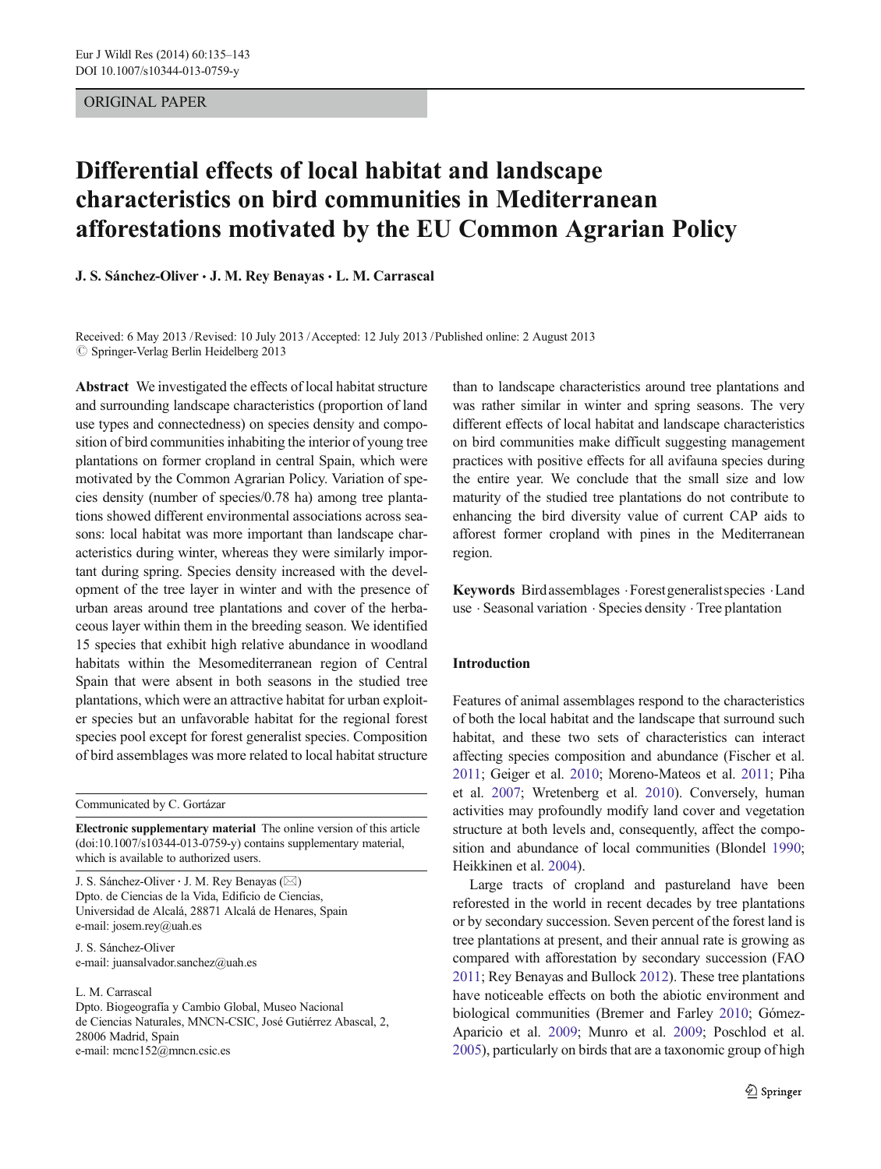## ORIGINAL PAPER

# Differential effects of local habitat and landscape characteristics on bird communities in Mediterranean afforestations motivated by the EU Common Agrarian Policy

J. S. Sánchez-Oliver · J. M. Rey Benayas · L. M. Carrascal

Received: 6 May 2013 /Revised: 10 July 2013 /Accepted: 12 July 2013 /Published online: 2 August 2013  $\oslash$  Springer-Verlag Berlin Heidelberg 2013

Abstract We investigated the effects of local habitat structure and surrounding landscape characteristics (proportion of land use types and connectedness) on species density and composition of bird communities inhabiting the interior of young tree plantations on former cropland in central Spain, which were motivated by the Common Agrarian Policy. Variation of species density (number of species/0.78 ha) among tree plantations showed different environmental associations across seasons: local habitat was more important than landscape characteristics during winter, whereas they were similarly important during spring. Species density increased with the development of the tree layer in winter and with the presence of urban areas around tree plantations and cover of the herbaceous layer within them in the breeding season. We identified 15 species that exhibit high relative abundance in woodland habitats within the Mesomediterranean region of Central Spain that were absent in both seasons in the studied tree plantations, which were an attractive habitat for urban exploiter species but an unfavorable habitat for the regional forest species pool except for forest generalist species. Composition of bird assemblages was more related to local habitat structure

Communicated by C. Gortázar

Electronic supplementary material The online version of this article (doi[:10.1007/s10344-013-0759-y](http://dx.doi.org/10.1007/s10344-013-0759-y)) contains supplementary material, which is available to authorized users.

J. S. Sánchez-Oliver  $\cdot$  J. M. Rey Benayas ( $\boxtimes$ ) Dpto. de Ciencias de la Vida, Edificio de Ciencias, Universidad de Alcalá, 28871 Alcalá de Henares, Spain e-mail: josem.rey@uah.es

J. S. Sánchez-Oliver e-mail: juansalvador.sanchez@uah.es

L. M. Carrascal

Dpto. Biogeografía y Cambio Global, Museo Nacional de Ciencias Naturales, MNCN-CSIC, José Gutiérrez Abascal, 2, 28006 Madrid, Spain e-mail: mcnc152@mncn.csic.es

than to landscape characteristics around tree plantations and was rather similar in winter and spring seasons. The very different effects of local habitat and landscape characteristics on bird communities make difficult suggesting management practices with positive effects for all avifauna species during the entire year. We conclude that the small size and low maturity of the studied tree plantations do not contribute to enhancing the bird diversity value of current CAP aids to afforest former cropland with pines in the Mediterranean region.

Keywords Birdassemblages .Forest generalistspecies .Land use . Seasonal variation . Species density . Tree plantation

## Introduction

Features of animal assemblages respond to the characteristics of both the local habitat and the landscape that surround such habitat, and these two sets of characteristics can interact affecting species composition and abundance (Fischer et al. [2011](#page-8-0); Geiger et al. [2010](#page-8-0); Moreno-Mateos et al. [2011;](#page-8-0) Piha et al. [2007](#page-8-0); Wretenberg et al. [2010\)](#page-8-0). Conversely, human activities may profoundly modify land cover and vegetation structure at both levels and, consequently, affect the composition and abundance of local communities (Blondel [1990;](#page-7-0) Heikkinen et al. [2004](#page-8-0)).

Large tracts of cropland and pastureland have been reforested in the world in recent decades by tree plantations or by secondary succession. Seven percent of the forest land is tree plantations at present, and their annual rate is growing as compared with afforestation by secondary succession (FAO [2011](#page-8-0); Rey Benayas and Bullock [2012](#page-8-0)). These tree plantations have noticeable effects on both the abiotic environment and biological communities (Bremer and Farley [2010](#page-7-0); Gómez-Aparicio et al. [2009](#page-8-0); Munro et al. [2009;](#page-8-0) Poschlod et al. [2005\)](#page-8-0), particularly on birds that are a taxonomic group of high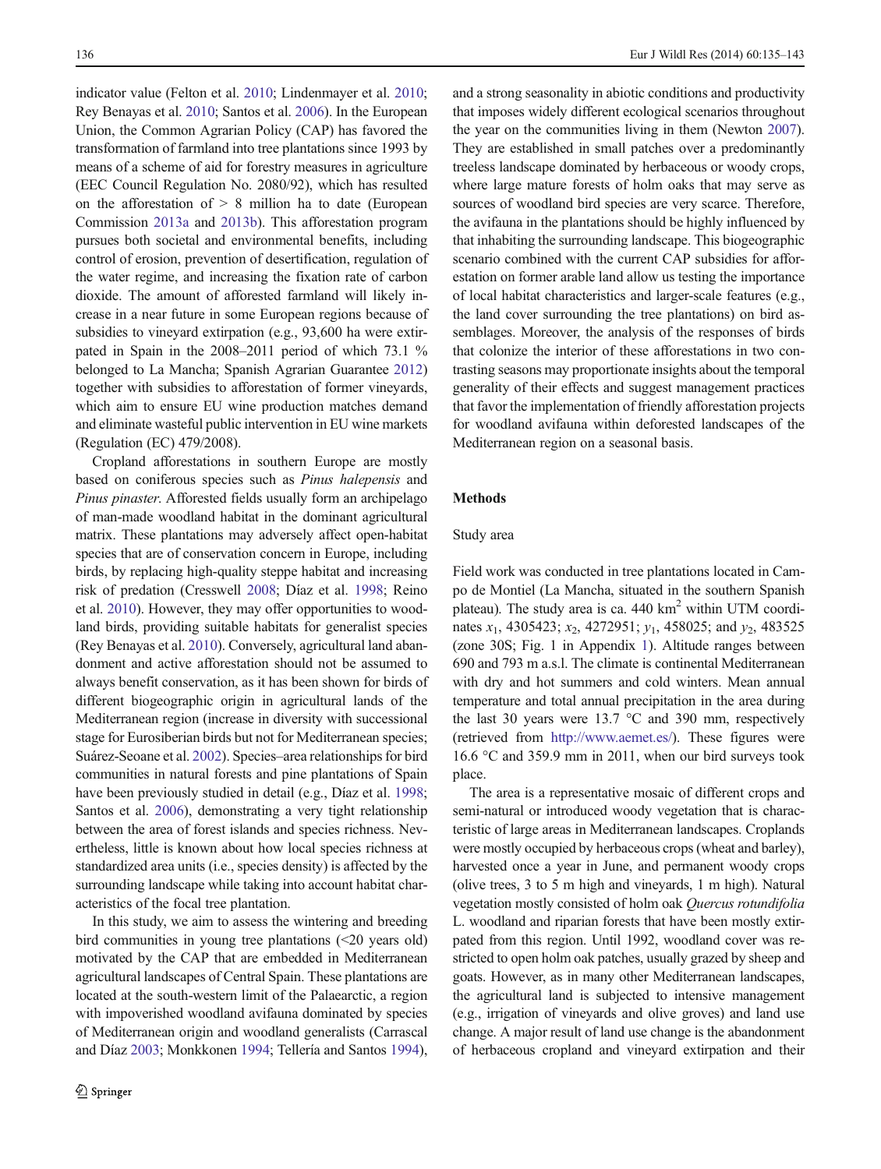indicator value (Felton et al. [2010;](#page-8-0) Lindenmayer et al. [2010](#page-8-0); Rey Benayas et al. [2010](#page-8-0); Santos et al. [2006](#page-8-0)). In the European Union, the Common Agrarian Policy (CAP) has favored the transformation of farmland into tree plantations since 1993 by means of a scheme of aid for forestry measures in agriculture (EEC Council Regulation No. 2080/92), which has resulted on the afforestation of  $> 8$  million ha to date (European Commission [2013a](#page-7-0) and [2013b\)](#page-8-0). This afforestation program pursues both societal and environmental benefits, including control of erosion, prevention of desertification, regulation of the water regime, and increasing the fixation rate of carbon dioxide. The amount of afforested farmland will likely increase in a near future in some European regions because of subsidies to vineyard extirpation (e.g., 93,600 ha were extirpated in Spain in the 2008–2011 period of which 73.1 % belonged to La Mancha; Spanish Agrarian Guarantee [2012\)](#page-8-0) together with subsidies to afforestation of former vineyards, which aim to ensure EU wine production matches demand and eliminate wasteful public intervention in EU wine markets (Regulation (EC) 479/2008).

Cropland afforestations in southern Europe are mostly based on coniferous species such as Pinus halepensis and Pinus pinaster. Afforested fields usually form an archipelago of man-made woodland habitat in the dominant agricultural matrix. These plantations may adversely affect open-habitat species that are of conservation concern in Europe, including birds, by replacing high-quality steppe habitat and increasing risk of predation (Cresswell [2008;](#page-7-0) Díaz et al. [1998](#page-7-0); Reino et al. [2010](#page-8-0)). However, they may offer opportunities to woodland birds, providing suitable habitats for generalist species (Rey Benayas et al. [2010\)](#page-8-0). Conversely, agricultural land abandonment and active afforestation should not be assumed to always benefit conservation, as it has been shown for birds of different biogeographic origin in agricultural lands of the Mediterranean region (increase in diversity with successional stage for Eurosiberian birds but not for Mediterranean species; Suárez-Seoane et al. [2002\)](#page-8-0). Species–area relationships for bird communities in natural forests and pine plantations of Spain have been previously studied in detail (e.g., Díaz et al. [1998](#page-7-0); Santos et al. [2006](#page-8-0)), demonstrating a very tight relationship between the area of forest islands and species richness. Nevertheless, little is known about how local species richness at standardized area units (i.e., species density) is affected by the surrounding landscape while taking into account habitat characteristics of the focal tree plantation.

In this study, we aim to assess the wintering and breeding bird communities in young tree plantations (<20 years old) motivated by the CAP that are embedded in Mediterranean agricultural landscapes of Central Spain. These plantations are located at the south-western limit of the Palaearctic, a region with impoverished woodland avifauna dominated by species of Mediterranean origin and woodland generalists (Carrascal and Díaz [2003;](#page-7-0) Monkkonen [1994](#page-8-0); Tellería and Santos [1994\)](#page-8-0), and a strong seasonality in abiotic conditions and productivity that imposes widely different ecological scenarios throughout the year on the communities living in them (Newton [2007\)](#page-8-0). They are established in small patches over a predominantly treeless landscape dominated by herbaceous or woody crops, where large mature forests of holm oaks that may serve as sources of woodland bird species are very scarce. Therefore, the avifauna in the plantations should be highly influenced by that inhabiting the surrounding landscape. This biogeographic scenario combined with the current CAP subsidies for afforestation on former arable land allow us testing the importance of local habitat characteristics and larger-scale features (e.g., the land cover surrounding the tree plantations) on bird assemblages. Moreover, the analysis of the responses of birds that colonize the interior of these afforestations in two contrasting seasons may proportionate insights about the temporal generality of their effects and suggest management practices that favor the implementation of friendly afforestation projects for woodland avifauna within deforested landscapes of the Mediterranean region on a seasonal basis.

## Methods

#### Study area

Field work was conducted in tree plantations located in Campo de Montiel (La Mancha, situated in the southern Spanish plateau). The study area is ca.  $440 \text{ km}^2$  within UTM coordinates  $x_1$ , 4305423;  $x_2$ , 4272951;  $y_1$ , 458025; and  $y_2$ , 483525 (zone 30S; Fig. 1 in Appendix 1). Altitude ranges between 690 and 793 m a.s.l. The climate is continental Mediterranean with dry and hot summers and cold winters. Mean annual temperature and total annual precipitation in the area during the last 30 years were 13.7 °C and 390 mm, respectively (retrieved from <http://www.aemet.es/>). These figures were 16.6 °C and 359.9 mm in 2011, when our bird surveys took place.

The area is a representative mosaic of different crops and semi-natural or introduced woody vegetation that is characteristic of large areas in Mediterranean landscapes. Croplands were mostly occupied by herbaceous crops (wheat and barley), harvested once a year in June, and permanent woody crops (olive trees, 3 to 5 m high and vineyards, 1 m high). Natural vegetation mostly consisted of holm oak Quercus rotundifolia L. woodland and riparian forests that have been mostly extirpated from this region. Until 1992, woodland cover was restricted to open holm oak patches, usually grazed by sheep and goats. However, as in many other Mediterranean landscapes, the agricultural land is subjected to intensive management (e.g., irrigation of vineyards and olive groves) and land use change. A major result of land use change is the abandonment of herbaceous cropland and vineyard extirpation and their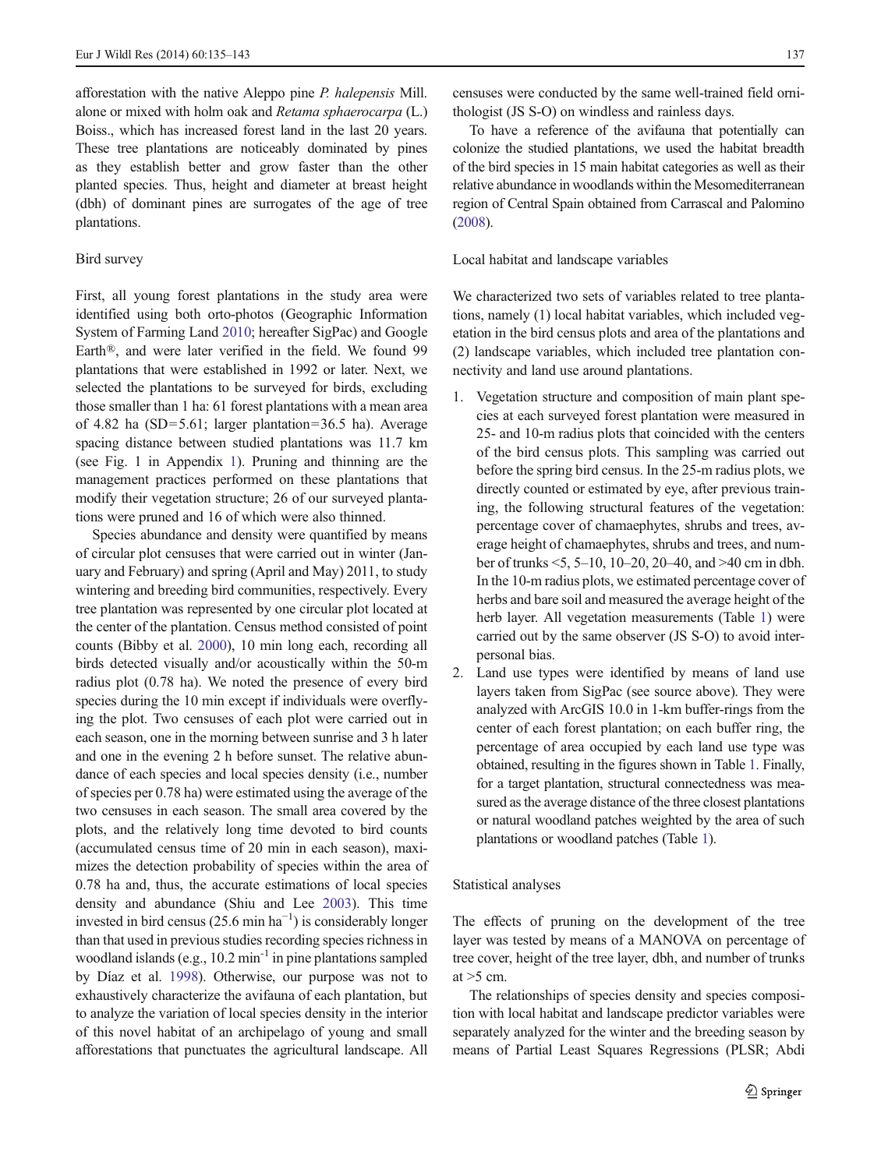afforestation with the native Aleppo pine P. halepensis Mill. alone or mixed with holm oak and Retama sphaerocarpa (L.) Boiss., which has increased forest land in the last 20 years. These tree plantations are noticeably dominated by pines as they establish better and grow faster than the other planted species. Thus, height and diameter at breast height (dbh) of dominant pines are surrogates of the age of tree plantations.

#### Bird survey

First, all young forest plantations in the study area were identified using both orto-photos (Geographic Information System of Farming Land [2010;](#page-8-0) hereafter SigPac) and Google Earth®, and were later verified in the field. We found 99 plantations that were established in 1992 or later. Next, we selected the plantations to be surveyed for birds, excluding those smaller than 1 ha: 61 forest plantations with a mean area of 4.82 ha (SD=5.61; larger plantation=36.5 ha). Average spacing distance between studied plantations was 11.7 km (see Fig. 1 in Appendix 1). Pruning and thinning are the management practices performed on these plantations that modify their vegetation structure; 26 of our surveyed plantations were pruned and 16 of which were also thinned.

Species abundance and density were quantified by means of circular plot censuses that were carried out in winter (January and February) and spring (April and May) 2011, to study wintering and breeding bird communities, respectively. Every tree plantation was represented by one circular plot located at the center of the plantation. Census method consisted of point counts (Bibby et al. [2000](#page-7-0)), 10 min long each, recording all birds detected visually and/or acoustically within the 50-m radius plot (0.78 ha). We noted the presence of every bird species during the 10 min except if individuals were overflying the plot. Two censuses of each plot were carried out in each season, one in the morning between sunrise and 3 h later and one in the evening 2 h before sunset. The relative abundance of each species and local species density (i.e., number of species per 0.78 ha) were estimated using the average of the two censuses in each season. The small area covered by the plots, and the relatively long time devoted to bird counts (accumulated census time of 20 min in each season), maximizes the detection probability of species within the area of 0.78 ha and, thus, the accurate estimations of local species density and abundance (Shiu and Lee [2003\)](#page-8-0). This time invested in bird census (25.6 min  $ha^{-1}$ ) is considerably longer than that used in previous studies recording species richness in woodland islands (e.g.,  $10.2 \text{ min}^{-1}$  in pine plantations sampled by Díaz et al. [1998\)](#page-7-0). Otherwise, our purpose was not to exhaustively characterize the avifauna of each plantation, but to analyze the variation of local species density in the interior of this novel habitat of an archipelago of young and small afforestations that punctuates the agricultural landscape. All

censuses were conducted by the same well-trained field ornithologist (JS S-O) on windless and rainless days.

To have a reference of the avifauna that potentially can colonize the studied plantations, we used the habitat breadth of the bird species in 15 main habitat categories as well as their relative abundance in woodlands within the Mesomediterranean region of Central Spain obtained from Carrascal and Palomino [\(2008](#page-7-0)).

Local habitat and landscape variables

We characterized two sets of variables related to tree plantations, namely (1) local habitat variables, which included vegetation in the bird census plots and area of the plantations and (2) landscape variables, which included tree plantation connectivity and land use around plantations.

- 1. Vegetation structure and composition of main plant species at each surveyed forest plantation were measured in 25- and 10-m radius plots that coincided with the centers of the bird census plots. This sampling was carried out before the spring bird census. In the 25-m radius plots, we directly counted or estimated by eye, after previous training, the following structural features of the vegetation: percentage cover of chamaephytes, shrubs and trees, average height of chamaephytes, shrubs and trees, and number of trunks <5, 5–10, 10–20, 20–40, and >40 cm in dbh. In the 10-m radius plots, we estimated percentage cover of herbs and bare soil and measured the average height of the herb layer. All vegetation measurements (Table [1\)](#page-3-0) were carried out by the same observer (JS S-O) to avoid interpersonal bias.
- 2. Land use types were identified by means of land use layers taken from SigPac (see source above). They were analyzed with ArcGIS 10.0 in 1-km buffer-rings from the center of each forest plantation; on each buffer ring, the percentage of area occupied by each land use type was obtained, resulting in the figures shown in Table [1](#page-3-0). Finally, for a target plantation, structural connectedness was measured as the average distance of the three closest plantations or natural woodland patches weighted by the area of such plantations or woodland patches (Table [1](#page-3-0)).

## Statistical analyses

The effects of pruning on the development of the tree layer was tested by means of a MANOVA on percentage of tree cover, height of the tree layer, dbh, and number of trunks at  $>5$  cm.

The relationships of species density and species composition with local habitat and landscape predictor variables were separately analyzed for the winter and the breeding season by means of Partial Least Squares Regressions (PLSR; Abdi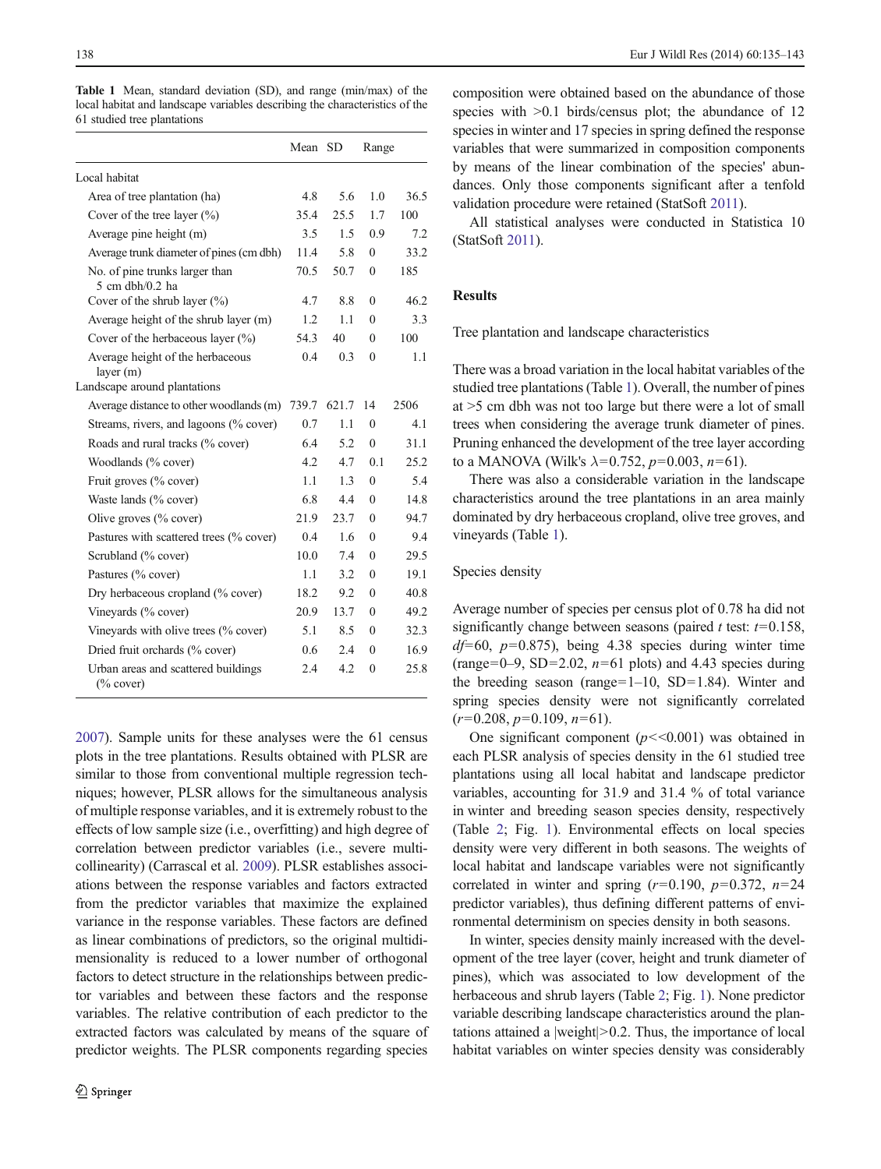|                                                     | Mean  | -SD<br>Range |              |      |
|-----------------------------------------------------|-------|--------------|--------------|------|
| Local habitat                                       |       |              |              |      |
| Area of tree plantation (ha)                        | 4.8   | 5.6          | 1.0          | 36.5 |
| Cover of the tree layer $(\% )$                     | 35.4  | 25.5         | 1.7          | 100  |
| Average pine height (m)                             | 3.5   | 1.5          | 0.9          | 7.2  |
| Average trunk diameter of pines (cm dbh)            | 11.4  | 5.8          | 0            | 33.2 |
| No. of pine trunks larger than<br>5 cm dbh/0.2 ha   | 70.5  | 50.7         | 0            | 185  |
| Cover of the shrub layer $(\%)$                     | 4.7   | 8.8          | 0            | 46.2 |
| Average height of the shrub layer (m)               | 1.2   | 1.1          | $\theta$     | 3.3  |
| Cover of the herbaceous layer $(\%)$                | 54.3  | 40           | $\theta$     | 100  |
| Average height of the herbaceous<br>layer(m)        | 0.4   | 0.3          | 0            | 1.1  |
| Landscape around plantations                        |       |              |              |      |
| Average distance to other woodlands (m)             | 739.7 | 621.7        | 14           | 2506 |
| Streams, rivers, and lagoons (% cover)              | 0.7   | 1.1          | $\theta$     | 4.1  |
| Roads and rural tracks (% cover)                    | 6.4   | 5.2          | $\theta$     | 31.1 |
| Woodlands (% cover)                                 | 4.2   | 4.7          | 0.1          | 25.2 |
| Fruit groves (% cover)                              | 1.1   | 1.3          | 0            | 5.4  |
| Waste lands (% cover)                               | 6.8   | 4.4          | $\Omega$     | 14.8 |
| Olive groves $(\%$ cover)                           | 21.9  | 23.7         | 0            | 94.7 |
| Pastures with scattered trees (% cover)             | 0.4   | 1.6          | 0            | 9.4  |
| Scrubland (% cover)                                 | 10.0  | 7.4          | 0            | 29.5 |
| Pastures (% cover)                                  | 1.1   | 3.2          | 0            | 19.1 |
| Dry herbaceous cropland (% cover)                   | 18.2  | 9.2          | 0            | 40.8 |
| Vineyards (% cover)                                 | 20.9  | 13.7         | $\mathbf{0}$ | 49.2 |
| Vineyards with olive trees (% cover)                | 5.1   | 8.5          | 0            | 32.3 |
| Dried fruit orchards (% cover)                      | 0.6   | 2.4          | 0            | 16.9 |
| Urban areas and scattered buildings<br>$(\%$ cover) | 2.4   | 4.2          | $\mathbf{0}$ | 25.8 |

<span id="page-3-0"></span>Table 1 Mean, standard deviation (SD), and range (min/max) of the local habitat and landscape variables describing the characteristics of the 61 studied tree plantations

[2007\)](#page-7-0). Sample units for these analyses were the 61 census plots in the tree plantations. Results obtained with PLSR are similar to those from conventional multiple regression techniques; however, PLSR allows for the simultaneous analysis of multiple response variables, and it is extremely robust to the effects of low sample size (i.e., overfitting) and high degree of correlation between predictor variables (i.e., severe multicollinearity) (Carrascal et al. [2009\)](#page-7-0). PLSR establishes associations between the response variables and factors extracted from the predictor variables that maximize the explained variance in the response variables. These factors are defined as linear combinations of predictors, so the original multidimensionality is reduced to a lower number of orthogonal factors to detect structure in the relationships between predictor variables and between these factors and the response variables. The relative contribution of each predictor to the extracted factors was calculated by means of the square of predictor weights. The PLSR components regarding species composition were obtained based on the abundance of those species with  $>0.1$  birds/census plot; the abundance of 12 species in winter and 17 species in spring defined the response variables that were summarized in composition components by means of the linear combination of the species' abundances. Only those components significant after a tenfold validation procedure were retained (StatSoft [2011\)](#page-8-0).

All statistical analyses were conducted in Statistica 10 (StatSoft [2011](#page-8-0)).

## Results

Tree plantation and landscape characteristics

There was a broad variation in the local habitat variables of the studied tree plantations (Table 1). Overall, the number of pines at >5 cm dbh was not too large but there were a lot of small trees when considering the average trunk diameter of pines. Pruning enhanced the development of the tree layer according to a MANOVA (Wilk's  $\lambda = 0.752$ ,  $p=0.003$ ,  $n=61$ ).

There was also a considerable variation in the landscape characteristics around the tree plantations in an area mainly dominated by dry herbaceous cropland, olive tree groves, and vineyards (Table 1).

#### Species density

Average number of species per census plot of 0.78 ha did not significantly change between seasons (paired  $t$  test:  $t=0.158$ ,  $df=60$ ,  $p=0.875$ ), being 4.38 species during winter time (range=0–9, SD=2.02,  $n=61$  plots) and 4.43 species during the breeding season (range=1–10, SD=1.84). Winter and spring species density were not significantly correlated  $(r=0.208, p=0.109, n=61).$ 

One significant component  $(p << 0.001)$  was obtained in each PLSR analysis of species density in the 61 studied tree plantations using all local habitat and landscape predictor variables, accounting for 31.9 and 31.4 % of total variance in winter and breeding season species density, respectively (Table [2;](#page-4-0) Fig. [1\)](#page-4-0). Environmental effects on local species density were very different in both seasons. The weights of local habitat and landscape variables were not significantly correlated in winter and spring  $(r=0.190, p=0.372, n=24)$ predictor variables), thus defining different patterns of environmental determinism on species density in both seasons.

In winter, species density mainly increased with the development of the tree layer (cover, height and trunk diameter of pines), which was associated to low development of the herbaceous and shrub layers (Table [2](#page-4-0); Fig. [1\)](#page-4-0). None predictor variable describing landscape characteristics around the plantations attained a  $|weight| > 0.2$ . Thus, the importance of local habitat variables on winter species density was considerably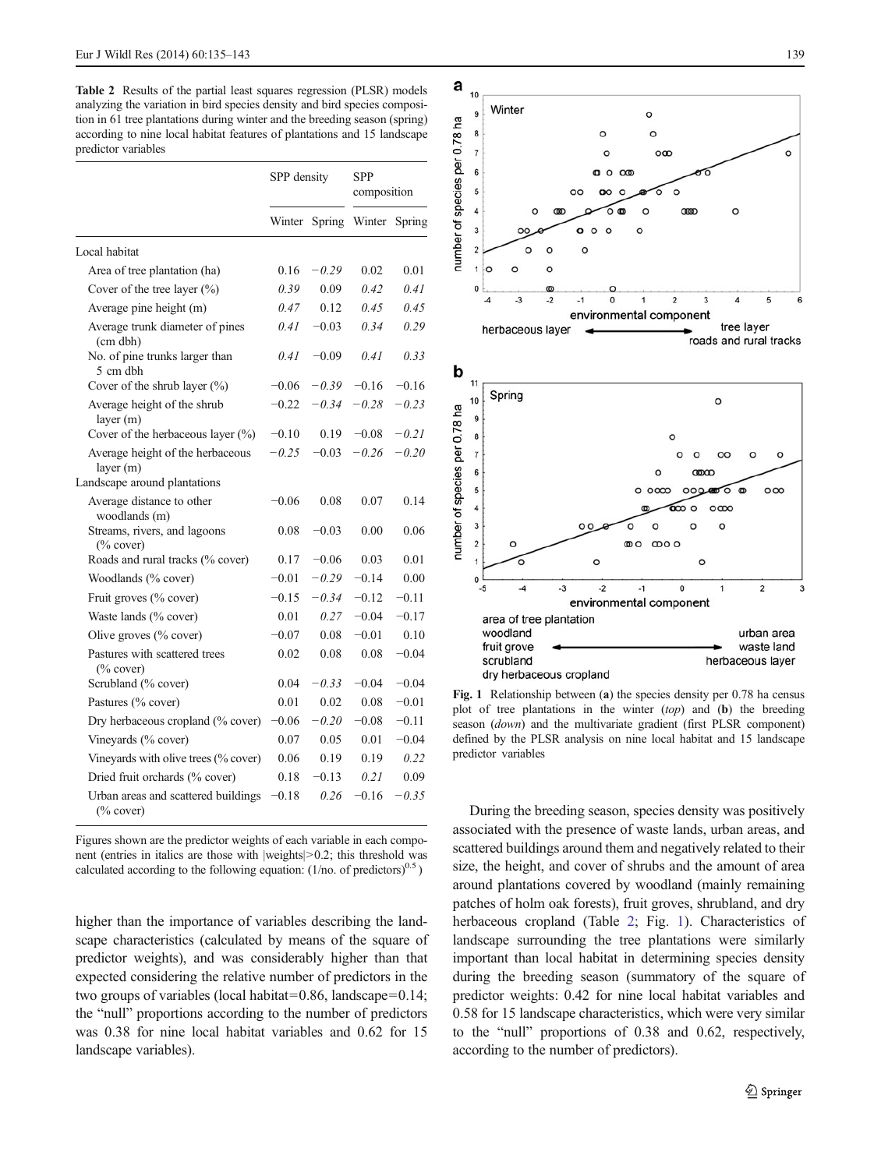<span id="page-4-0"></span>Table 2 Results of the partial least squares regression (PLSR) models analyzing the variation in bird species density and bird species composition in 61 tree plantations during winter and the breeding season (spring) according to nine local habitat features of plantations and 15 landscape predictor variables

|                                                      | SPP density |         | <b>SPP</b><br>composition |         |
|------------------------------------------------------|-------------|---------|---------------------------|---------|
|                                                      | Winter      | Spring  | Winter                    | Spring  |
| Local habitat                                        |             |         |                           |         |
| Area of tree plantation (ha)                         | 0.16        | $-0.29$ | 0.02                      | 0.01    |
| Cover of the tree layer $(\% )$                      | 0.39        | 0.09    | 0.42                      | 0.41    |
| Average pine height (m)                              | 0.47        | 0.12    | 0.45                      | 0.45    |
| Average trunk diameter of pines<br>(cm dbh)          | 0.41        | $-0.03$ | 0.34                      | 0.29    |
| No. of pine trunks larger than<br>5 cm dbh           | 0.41        | $-0.09$ | 0.41                      | 0.33    |
| Cover of the shrub layer (%)                         | $-0.06$     | $-0.39$ | $-0.16$                   | $-0.16$ |
| Average height of the shrub<br>layer $(m)$           | $-0.22$     | $-0.34$ | $-0.28$                   | $-0.23$ |
| Cover of the herbaceous layer $(\%)$                 | $-0.10$     | 0.19    | $-0.08$                   | $-0.21$ |
| Average height of the herbaceous<br>layer(m)         | $-0.25$     | $-0.03$ | $-0.26$                   | $-0.20$ |
| Landscape around plantations                         |             |         |                           |         |
| Average distance to other<br>woodlands (m)           | $-0.06$     | 0.08    | 0.07                      | 0.14    |
| Streams, rivers, and lagoons<br>$\frac{6}{2}$ cover) | 0.08        | $-0.03$ | 0.00                      | 0.06    |
| Roads and rural tracks (% cover)                     | 0.17        | $-0.06$ | 0.03                      | 0.01    |
| Woodlands (% cover)                                  | $-0.01$     | $-0.29$ | $-0.14$                   | 0.00    |
| Fruit groves (% cover)                               | $-0.15$     | $-0.34$ | $-0.12$                   | $-0.11$ |
| Waste lands (% cover)                                | 0.01        | 0.27    | $-0.04$                   | $-0.17$ |
| Olive groves $(\%$ cover)                            | $-0.07$     | 0.08    | $-0.01$                   | 0.10    |
| Pastures with scattered trees<br>$(\%$ cover)        | 0.02        | 0.08    | 0.08                      | $-0.04$ |
| Scrubland (% cover)                                  | 0.04        | $-0.33$ | $-0.04$                   | $-0.04$ |
| Pastures (% cover)                                   | 0.01        | 0.02    | 0.08                      | $-0.01$ |
| Dry herbaceous cropland (% cover)                    | 0.06        | $-0.20$ | $-0.08$                   | $-0.11$ |
| Vineyards (% cover)                                  | 0.07        | 0.05    | 0.01                      | $-0.04$ |
| Vineyards with olive trees (% cover)                 | 0.06        | 0.19    | 0.19                      | 0.22    |
| Dried fruit orchards (% cover)                       | 0.18        | $-0.13$ | 0.21                      | 0.09    |
| Urban areas and scattered buildings<br>$(\%$ cover)  | 0.18        | 0.26    | $-0.16$                   | $-0.35$ |

Figures shown are the predictor weights of each variable in each component (entries in italics are those with |weights|>0.2; this threshold was calculated according to the following equation:  $(1/no. of predictors)^{0.5}$ )

higher than the importance of variables describing the landscape characteristics (calculated by means of the square of predictor weights), and was considerably higher than that expected considering the relative number of predictors in the two groups of variables (local habitat=0.86, landscape=0.14; the "null" proportions according to the number of predictors was 0.38 for nine local habitat variables and 0.62 for 15 landscape variables).



Fig. 1 Relationship between (a) the species density per 0.78 ha census plot of tree plantations in the winter  $(top)$  and  $(b)$  the breeding season (down) and the multivariate gradient (first PLSR component) defined by the PLSR analysis on nine local habitat and 15 landscape predictor variables

During the breeding season, species density was positively associated with the presence of waste lands, urban areas, and scattered buildings around them and negatively related to their size, the height, and cover of shrubs and the amount of area around plantations covered by woodland (mainly remaining patches of holm oak forests), fruit groves, shrubland, and dry herbaceous cropland (Table 2; Fig. 1). Characteristics of landscape surrounding the tree plantations were similarly important than local habitat in determining species density during the breeding season (summatory of the square of predictor weights: 0.42 for nine local habitat variables and 0.58 for 15 landscape characteristics, which were very similar to the "null" proportions of 0.38 and 0.62, respectively, according to the number of predictors).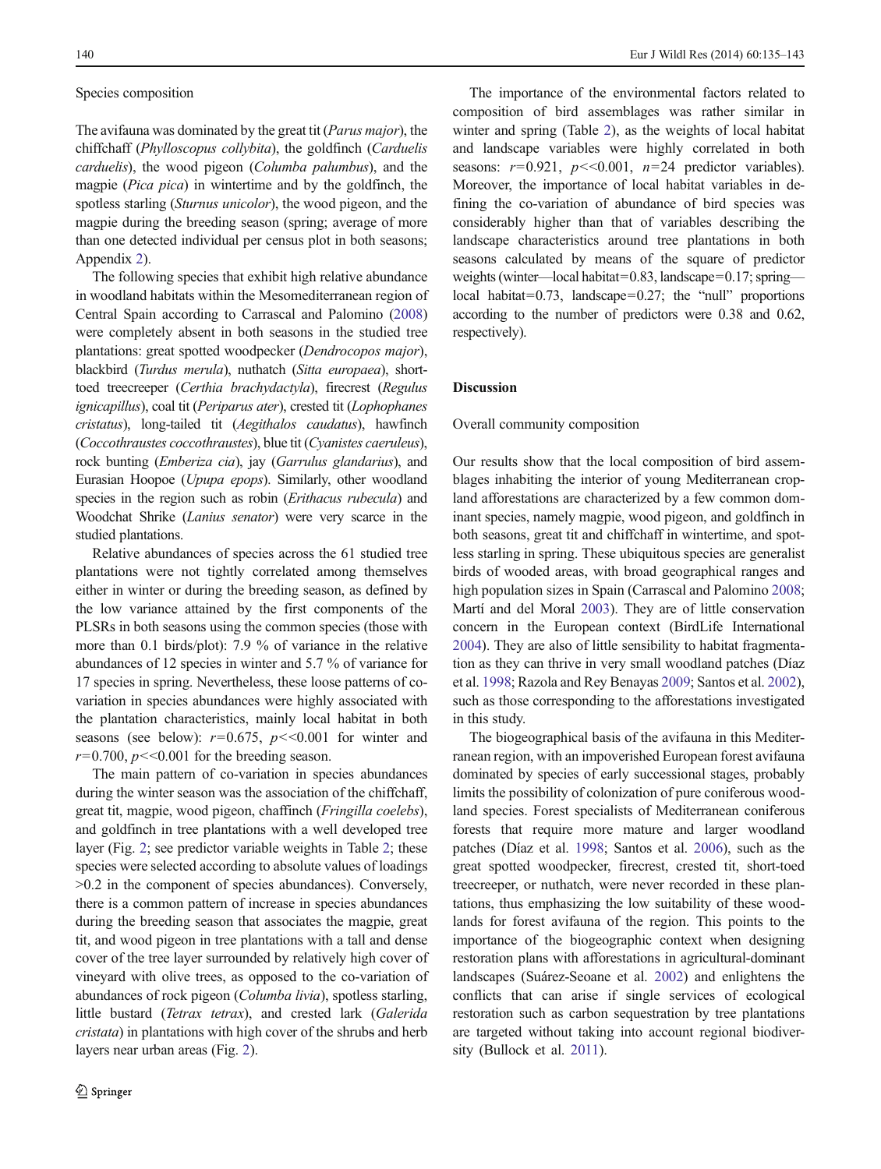#### Species composition

The avifauna was dominated by the great tit (Parus major), the chiffchaff (Phylloscopus collybita), the goldfinch (Carduelis carduelis), the wood pigeon (Columba palumbus), and the magpie (Pica pica) in wintertime and by the goldfinch, the spotless starling (Sturnus unicolor), the wood pigeon, and the magpie during the breeding season (spring; average of more than one detected individual per census plot in both seasons; Appendix 2).

The following species that exhibit high relative abundance in woodland habitats within the Mesomediterranean region of Central Spain according to Carrascal and Palomino [\(2008\)](#page-7-0) were completely absent in both seasons in the studied tree plantations: great spotted woodpecker (Dendrocopos major), blackbird (Turdus merula), nuthatch (Sitta europaea), shorttoed treecreeper (Certhia brachydactyla), firecrest (Regulus ignicapillus), coal tit (Periparus ater), crested tit (Lophophanes cristatus), long-tailed tit (Aegithalos caudatus), hawfinch (Coccothraustes coccothraustes), blue tit (Cyanistes caeruleus), rock bunting (Emberiza cia), jay (Garrulus glandarius), and Eurasian Hoopoe (Upupa epops). Similarly, other woodland species in the region such as robin (Erithacus rubecula) and Woodchat Shrike (Lanius senator) were very scarce in the studied plantations.

Relative abundances of species across the 61 studied tree plantations were not tightly correlated among themselves either in winter or during the breeding season, as defined by the low variance attained by the first components of the PLSRs in both seasons using the common species (those with more than 0.1 birds/plot): 7.9 % of variance in the relative abundances of 12 species in winter and 5.7 % of variance for 17 species in spring. Nevertheless, these loose patterns of covariation in species abundances were highly associated with the plantation characteristics, mainly local habitat in both seasons (see below):  $r=0.675$ ,  $p<<0.001$  for winter and  $r=0.700$ ,  $p<<0.001$  for the breeding season.

The main pattern of co-variation in species abundances during the winter season was the association of the chiffchaff, great tit, magpie, wood pigeon, chaffinch (Fringilla coelebs), and goldfinch in tree plantations with a well developed tree layer (Fig. [2](#page-6-0); see predictor variable weights in Table [2;](#page-4-0) these species were selected according to absolute values of loadings >0.2 in the component of species abundances). Conversely, there is a common pattern of increase in species abundances during the breeding season that associates the magpie, great tit, and wood pigeon in tree plantations with a tall and dense cover of the tree layer surrounded by relatively high cover of vineyard with olive trees, as opposed to the co-variation of abundances of rock pigeon (Columba livia), spotless starling, little bustard (Tetrax tetrax), and crested lark (Galerida cristata) in plantations with high cover of the shrubs and herb layers near urban areas (Fig. [2](#page-6-0)).

The importance of the environmental factors related to composition of bird assemblages was rather similar in winter and spring (Table [2](#page-4-0)), as the weights of local habitat and landscape variables were highly correlated in both seasons:  $r=0.921$ ,  $p\ll0.001$ ,  $n=24$  predictor variables). Moreover, the importance of local habitat variables in defining the co-variation of abundance of bird species was considerably higher than that of variables describing the landscape characteristics around tree plantations in both seasons calculated by means of the square of predictor weights (winter—local habitat=0.83, landscape=0.17; spring local habitat=0.73, landscape=0.27; the "null" proportions according to the number of predictors were 0.38 and 0.62, respectively).

## Discussion

### Overall community composition

Our results show that the local composition of bird assemblages inhabiting the interior of young Mediterranean cropland afforestations are characterized by a few common dominant species, namely magpie, wood pigeon, and goldfinch in both seasons, great tit and chiffchaff in wintertime, and spotless starling in spring. These ubiquitous species are generalist birds of wooded areas, with broad geographical ranges and high population sizes in Spain (Carrascal and Palomino [2008;](#page-7-0) Martí and del Moral [2003](#page-8-0)). They are of little conservation concern in the European context (BirdLife International [2004\)](#page-7-0). They are also of little sensibility to habitat fragmentation as they can thrive in very small woodland patches (Díaz et al. [1998;](#page-7-0) Razola and Rey Benayas [2009;](#page-8-0) Santos et al. [2002\)](#page-8-0), such as those corresponding to the afforestations investigated in this study.

The biogeographical basis of the avifauna in this Mediterranean region, with an impoverished European forest avifauna dominated by species of early successional stages, probably limits the possibility of colonization of pure coniferous woodland species. Forest specialists of Mediterranean coniferous forests that require more mature and larger woodland patches (Díaz et al. [1998](#page-7-0); Santos et al. [2006\)](#page-8-0), such as the great spotted woodpecker, firecrest, crested tit, short-toed treecreeper, or nuthatch, were never recorded in these plantations, thus emphasizing the low suitability of these woodlands for forest avifauna of the region. This points to the importance of the biogeographic context when designing restoration plans with afforestations in agricultural-dominant landscapes (Suárez-Seoane et al. [2002](#page-8-0)) and enlightens the conflicts that can arise if single services of ecological restoration such as carbon sequestration by tree plantations are targeted without taking into account regional biodiversity (Bullock et al. [2011](#page-7-0)).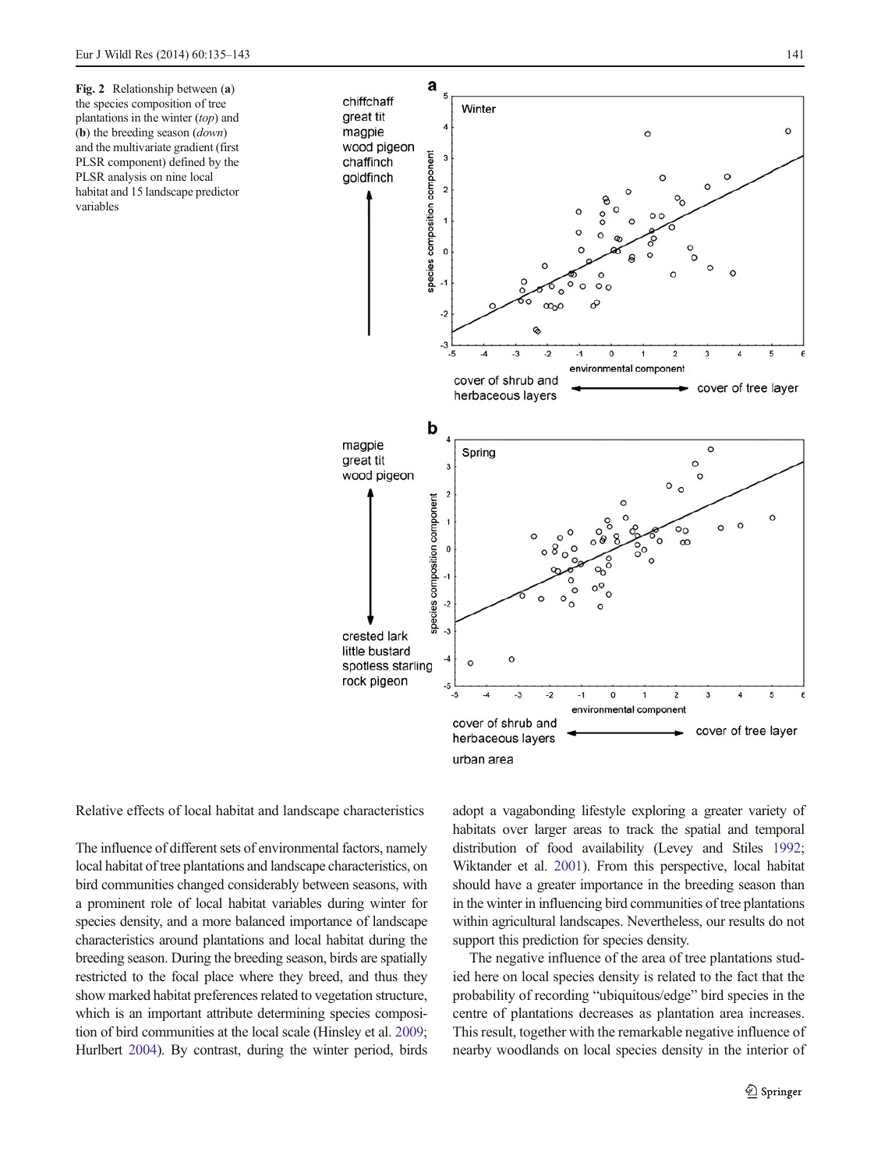<span id="page-6-0"></span>Fig. 2 Relationship between (a) the species composition of tree plantations in the winter (top) and (b) the breeding season (down) and the multivariate gradient (first PLSR component) defined by the PLSR analysis on nine local habitat and 15 landscape predictor variables



Relative effects of local habitat and landscape characteristics

The influence of different sets of environmental factors, namely local habitat of tree plantations and landscape characteristics, on bird communities changed considerably between seasons, with a prominent role of local habitat variables during winter for species density, and a more balanced importance of landscape characteristics around plantations and local habitat during the breeding season. During the breeding season, birds are spatially restricted to the focal place where they breed, and thus they show marked habitat preferences related to vegetation structure, which is an important attribute determining species composition of bird communities at the local scale (Hinsley et al. [2009](#page-8-0); Hurlbert [2004](#page-8-0)). By contrast, during the winter period, birds adopt a vagabonding lifestyle exploring a greater variety of habitats over larger areas to track the spatial and temporal distribution of food availability (Levey and Stiles [1992;](#page-8-0) Wiktander et al. [2001\)](#page-8-0). From this perspective, local habitat should have a greater importance in the breeding season than in the winter in influencing bird communities of tree plantations within agricultural landscapes. Nevertheless, our results do not support this prediction for species density.

The negative influence of the area of tree plantations studied here on local species density is related to the fact that the probability of recording "ubiquitous/edge" bird species in the centre of plantations decreases as plantation area increases. This result, together with the remarkable negative influence of nearby woodlands on local species density in the interior of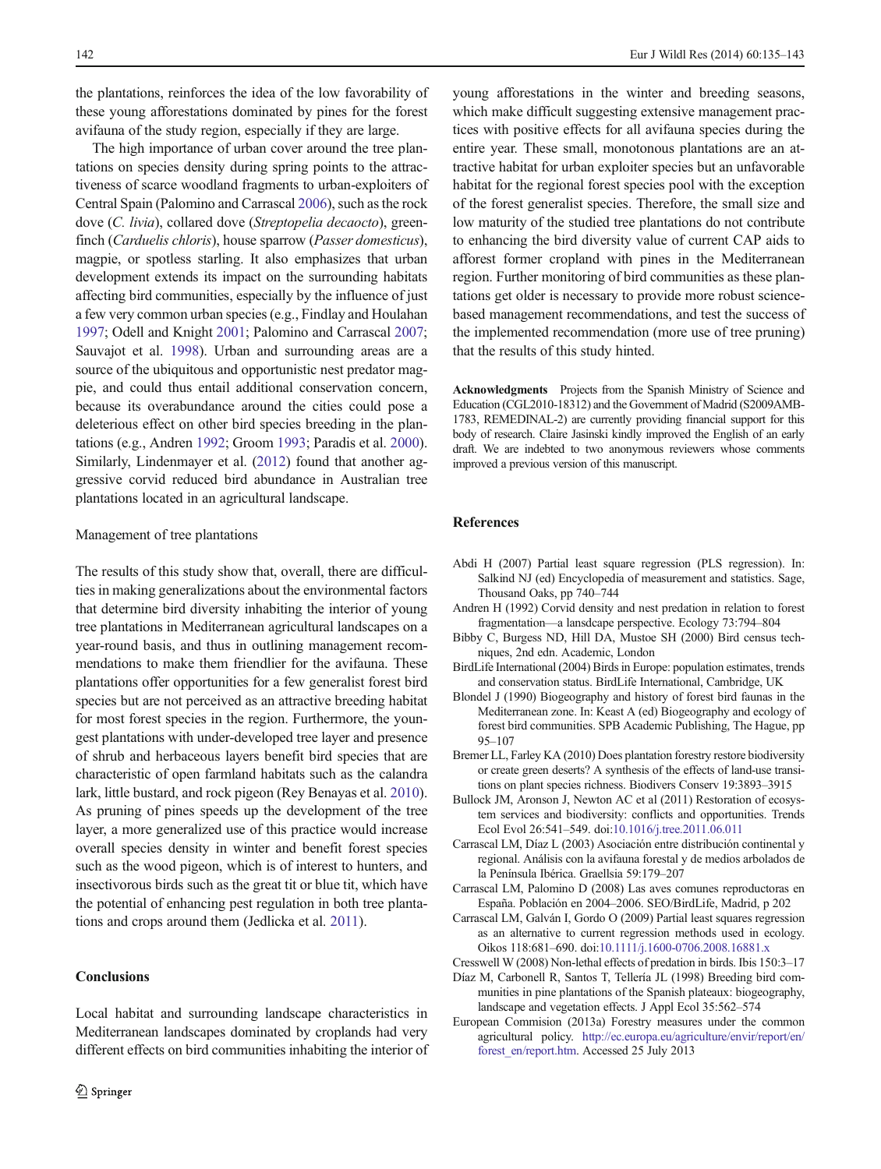<span id="page-7-0"></span>the plantations, reinforces the idea of the low favorability of these young afforestations dominated by pines for the forest avifauna of the study region, especially if they are large.

The high importance of urban cover around the tree plantations on species density during spring points to the attractiveness of scarce woodland fragments to urban-exploiters of Central Spain (Palomino and Carrascal [2006](#page-8-0)), such as the rock dove (C. livia), collared dove (Streptopelia decaocto), greenfinch (Carduelis chloris), house sparrow (Passer domesticus), magpie, or spotless starling. It also emphasizes that urban development extends its impact on the surrounding habitats affecting bird communities, especially by the influence of just a few very common urban species (e.g., Findlay and Houlahan [1997;](#page-8-0) Odell and Knight [2001;](#page-8-0) Palomino and Carrascal [2007](#page-8-0); Sauvajot et al. [1998\)](#page-8-0). Urban and surrounding areas are a source of the ubiquitous and opportunistic nest predator magpie, and could thus entail additional conservation concern, because its overabundance around the cities could pose a deleterious effect on other bird species breeding in the plantations (e.g., Andren 1992; Groom [1993;](#page-8-0) Paradis et al. [2000\)](#page-8-0). Similarly, Lindenmayer et al. ([2012](#page-8-0)) found that another aggressive corvid reduced bird abundance in Australian tree plantations located in an agricultural landscape.

#### Management of tree plantations

The results of this study show that, overall, there are difficulties in making generalizations about the environmental factors that determine bird diversity inhabiting the interior of young tree plantations in Mediterranean agricultural landscapes on a year-round basis, and thus in outlining management recommendations to make them friendlier for the avifauna. These plantations offer opportunities for a few generalist forest bird species but are not perceived as an attractive breeding habitat for most forest species in the region. Furthermore, the youngest plantations with under-developed tree layer and presence of shrub and herbaceous layers benefit bird species that are characteristic of open farmland habitats such as the calandra lark, little bustard, and rock pigeon (Rey Benayas et al. [2010\)](#page-8-0). As pruning of pines speeds up the development of the tree layer, a more generalized use of this practice would increase overall species density in winter and benefit forest species such as the wood pigeon, which is of interest to hunters, and insectivorous birds such as the great tit or blue tit, which have the potential of enhancing pest regulation in both tree plantations and crops around them (Jedlicka et al. [2011\)](#page-8-0).

## **Conclusions**

Local habitat and surrounding landscape characteristics in Mediterranean landscapes dominated by croplands had very different effects on bird communities inhabiting the interior of young afforestations in the winter and breeding seasons, which make difficult suggesting extensive management practices with positive effects for all avifauna species during the entire year. These small, monotonous plantations are an attractive habitat for urban exploiter species but an unfavorable habitat for the regional forest species pool with the exception of the forest generalist species. Therefore, the small size and low maturity of the studied tree plantations do not contribute to enhancing the bird diversity value of current CAP aids to afforest former cropland with pines in the Mediterranean region. Further monitoring of bird communities as these plantations get older is necessary to provide more robust sciencebased management recommendations, and test the success of the implemented recommendation (more use of tree pruning) that the results of this study hinted.

Acknowledgments Projects from the Spanish Ministry of Science and Education (CGL2010-18312) and the Government of Madrid (S2009AMB-1783, REMEDINAL-2) are currently providing financial support for this body of research. Claire Jasinski kindly improved the English of an early draft. We are indebted to two anonymous reviewers whose comments improved a previous version of this manuscript.

## References

- Abdi H (2007) Partial least square regression (PLS regression). In: Salkind NJ (ed) Encyclopedia of measurement and statistics. Sage, Thousand Oaks, pp 740–744
- Andren H (1992) Corvid density and nest predation in relation to forest fragmentation—a lansdcape perspective. Ecology 73:794–804
- Bibby C, Burgess ND, Hill DA, Mustoe SH (2000) Bird census techniques, 2nd edn. Academic, London
- BirdLife International (2004) Birds in Europe: population estimates, trends and conservation status. BirdLife International, Cambridge, UK
- Blondel J (1990) Biogeography and history of forest bird faunas in the Mediterranean zone. In: Keast A (ed) Biogeography and ecology of forest bird communities. SPB Academic Publishing, The Hague, pp 95–107
- Bremer LL, Farley KA (2010) Does plantation forestry restore biodiversity or create green deserts? A synthesis of the effects of land-use transitions on plant species richness. Biodivers Conserv 19:3893–3915
- Bullock JM, Aronson J, Newton AC et al (2011) Restoration of ecosystem services and biodiversity: conflicts and opportunities. Trends Ecol Evol 26:541–549. doi[:10.1016/j.tree.2011.06.011](http://dx.doi.org/10.1016/j.tree.2011.06.011)
- Carrascal LM, Díaz L (2003) Asociación entre distribución continental y regional. Análisis con la avifauna forestal y de medios arbolados de la Península Ibérica. Graellsia 59:179–207
- Carrascal LM, Palomino D (2008) Las aves comunes reproductoras en España. Población en 2004–2006. SEO/BirdLife, Madrid, p 202
- Carrascal LM, Galván I, Gordo O (2009) Partial least squares regression as an alternative to current regression methods used in ecology. Oikos 118:681–690. doi[:10.1111/j.1600-0706.2008.16881.x](http://dx.doi.org/10.1111/j.1600-0706.2008.16881.x)
- Cresswell W (2008) Non-lethal effects of predation in birds. Ibis 150:3–17
- Díaz M, Carbonell R, Santos T, Tellería JL (1998) Breeding bird communities in pine plantations of the Spanish plateaux: biogeography, landscape and vegetation effects. J Appl Ecol 35:562–574
- European Commision (2013a) Forestry measures under the common agricultural policy. [http://ec.europa.eu/agriculture/envir/report/en/](http://ec.europa.eu/agriculture/envir/report/en/forest_en/report.htm) forest en/report.htm. Accessed 25 July 2013